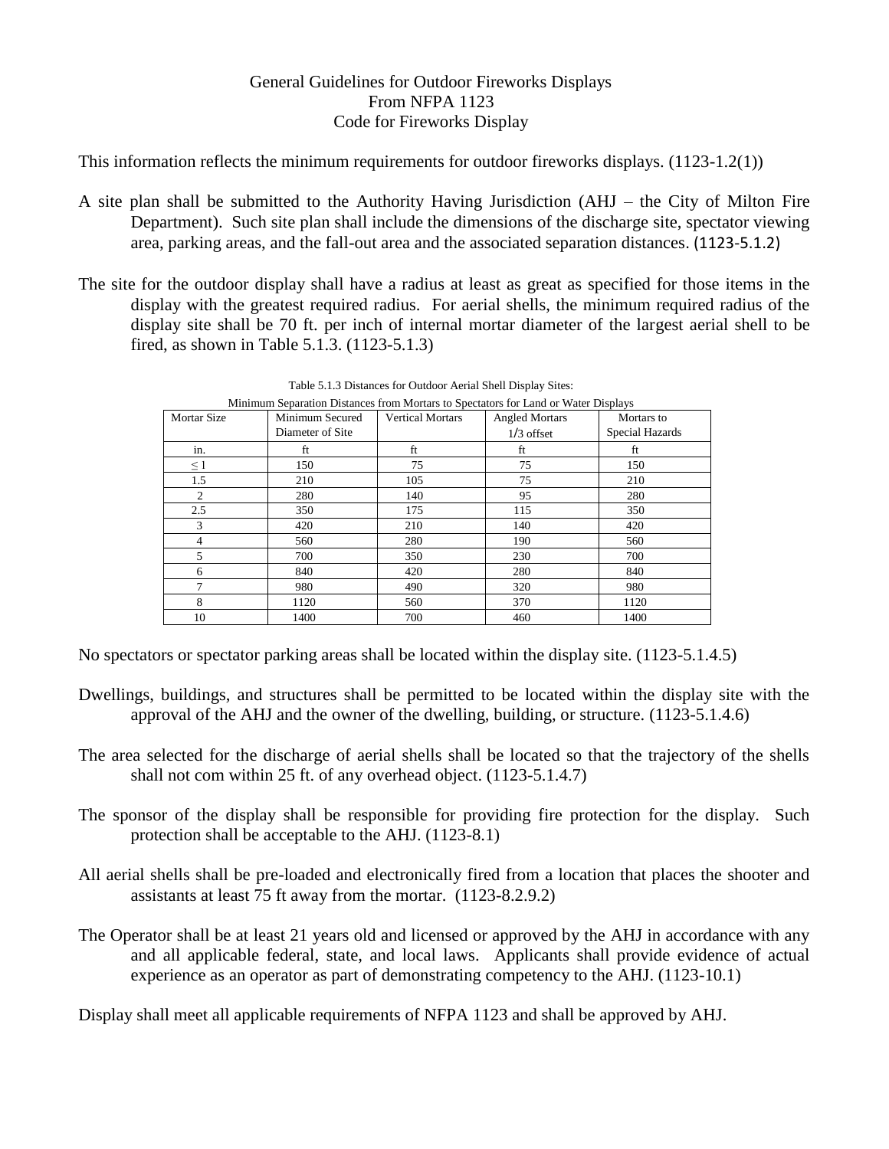## General Guidelines for Outdoor Fireworks Displays From NFPA 1123 Code for Fireworks Display

This information reflects the minimum requirements for outdoor fireworks displays. (1123-1.2(1))

- A site plan shall be submitted to the Authority Having Jurisdiction (AHJ the City of Milton Fire Department). Such site plan shall include the dimensions of the discharge site, spectator viewing area, parking areas, and the fall-out area and the associated separation distances. (1123-5.1.2)
- The site for the outdoor display shall have a radius at least as great as specified for those items in the display with the greatest required radius. For aerial shells, the minimum required radius of the display site shall be 70 ft. per inch of internal mortar diameter of the largest aerial shell to be fired, as shown in Table 5.1.3. (1123-5.1.3)

| Minimum Separation Distances from Mortars to Spectators for Land or Water Displays |                  |                         |                       |                 |
|------------------------------------------------------------------------------------|------------------|-------------------------|-----------------------|-----------------|
| <b>Mortar Size</b>                                                                 | Minimum Secured  | <b>Vertical Mortars</b> | <b>Angled Mortars</b> | Mortars to      |
|                                                                                    | Diameter of Site |                         | $1/3$ offset          | Special Hazards |
| in.                                                                                | ft               | ft                      | ft                    | ft              |
| $\leq 1$                                                                           | 150              | 75                      | 75                    | 150             |
| 1.5                                                                                | 210              | 105                     | 75                    | 210             |
| 2                                                                                  | 280              | 140                     | 95                    | 280             |
| 2.5                                                                                | 350              | 175                     | 115                   | 350             |
| 3                                                                                  | 420              | 210                     | 140                   | 420             |
| 4                                                                                  | 560              | 280                     | 190                   | 560             |
| 5                                                                                  | 700              | 350                     | 230                   | 700             |
| 6                                                                                  | 840              | 420                     | 280                   | 840             |
| 7                                                                                  | 980              | 490                     | 320                   | 980             |
| 8                                                                                  | 1120             | 560                     | 370                   | 1120            |
| 10                                                                                 | 1400             | 700                     | 460                   | 1400            |

Table 5.1.3 Distances for Outdoor Aerial Shell Display Sites:

No spectators or spectator parking areas shall be located within the display site. (1123-5.1.4.5)

- Dwellings, buildings, and structures shall be permitted to be located within the display site with the approval of the AHJ and the owner of the dwelling, building, or structure. (1123-5.1.4.6)
- The area selected for the discharge of aerial shells shall be located so that the trajectory of the shells shall not com within 25 ft. of any overhead object. (1123-5.1.4.7)
- The sponsor of the display shall be responsible for providing fire protection for the display. Such protection shall be acceptable to the AHJ. (1123-8.1)
- All aerial shells shall be pre-loaded and electronically fired from a location that places the shooter and assistants at least 75 ft away from the mortar. (1123-8.2.9.2)
- The Operator shall be at least 21 years old and licensed or approved by the AHJ in accordance with any and all applicable federal, state, and local laws. Applicants shall provide evidence of actual experience as an operator as part of demonstrating competency to the AHJ. (1123-10.1)

Display shall meet all applicable requirements of NFPA 1123 and shall be approved by AHJ.